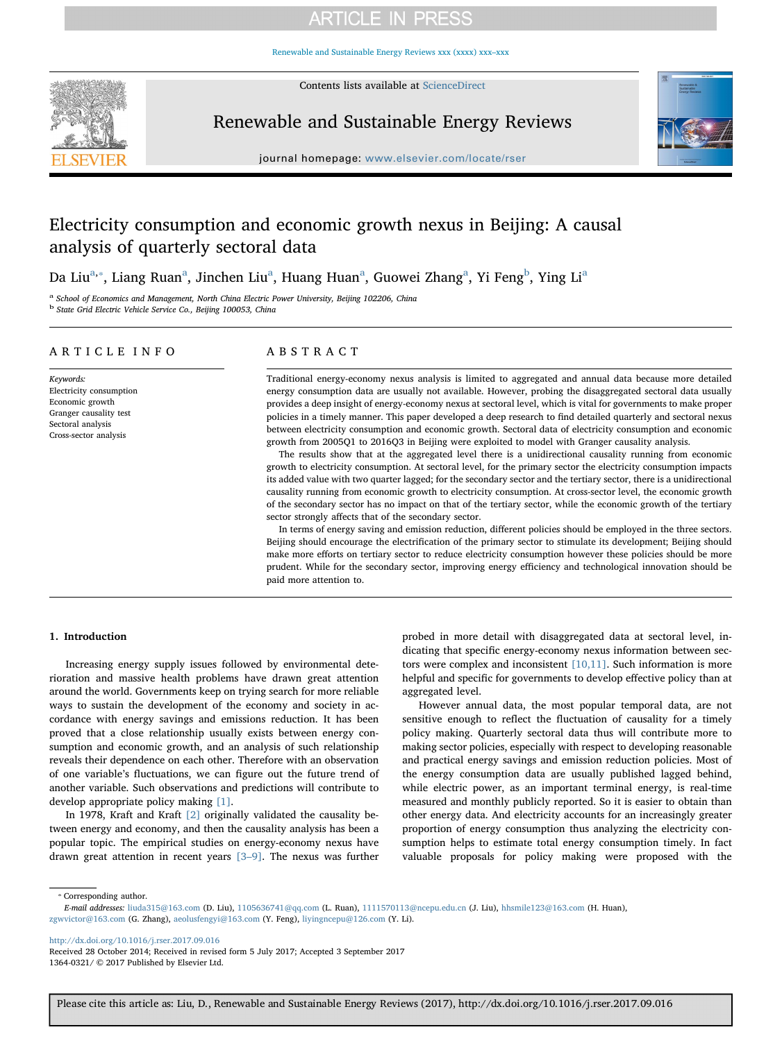# **ARTICLE IN PRESS**

[Renewable and Sustainable Energy Reviews xxx \(xxxx\) xxx–xxx](http://dx.doi.org/10.1016/j.rser.2017.09.016)



Contents lists available at [ScienceDirect](http://www.sciencedirect.com/science/journal/13640321)

### Renewable and Sustainable Energy Reviews



journal homepage: [www.elsevier.com/locate/rser](https://www.elsevier.com/locate/rser)

## Electricity consumption and economic growth nexus in Beijing: A causal analysis of quarterly sectoral data

Da Liu<sup>[a,](#page-0-0)</sup>\*, Li[a](#page-0-0)ng Ruan<sup>a</sup>, Jinchen Liu<sup>a</sup>, Huang Huan<sup>a</sup>, Guowei Zhang<sup>a</sup>, Yi Feng<sup>[b](#page-0-2)</sup>, Ying Li<sup>a</sup>

<span id="page-0-2"></span><span id="page-0-0"></span>School of Economics and Management, North China Electric Power University, Beijing 102206, China <sup>b</sup> State Grid Electric Vehicle Service Co., Beijing 100053, China

#### ARTICLE INFO

Keywords: Electricity consumption Economic growth Granger causality test Sectoral analysis Cross-sector analysis

### ABSTRACT

Traditional energy-economy nexus analysis is limited to aggregated and annual data because more detailed energy consumption data are usually not available. However, probing the disaggregated sectoral data usually provides a deep insight of energy-economy nexus at sectoral level, which is vital for governments to make proper policies in a timely manner. This paper developed a deep research to find detailed quarterly and sectoral nexus between electricity consumption and economic growth. Sectoral data of electricity consumption and economic growth from 2005Q1 to 2016Q3 in Beijing were exploited to model with Granger causality analysis.

The results show that at the aggregated level there is a unidirectional causality running from economic growth to electricity consumption. At sectoral level, for the primary sector the electricity consumption impacts its added value with two quarter lagged; for the secondary sector and the tertiary sector, there is a unidirectional causality running from economic growth to electricity consumption. At cross-sector level, the economic growth of the secondary sector has no impact on that of the tertiary sector, while the economic growth of the tertiary sector strongly affects that of the secondary sector.

In terms of energy saving and emission reduction, different policies should be employed in the three sectors. Beijing should encourage the electrification of the primary sector to stimulate its development; Beijing should make more efforts on tertiary sector to reduce electricity consumption however these policies should be more prudent. While for the secondary sector, improving energy efficiency and technological innovation should be paid more attention to.

#### 1. Introduction

Increasing energy supply issues followed by environmental deterioration and massive health problems have drawn great attention around the world. Governments keep on trying search for more reliable ways to sustain the development of the economy and society in accordance with energy savings and emissions reduction. It has been proved that a close relationship usually exists between energy consumption and economic growth, and an analysis of such relationship reveals their dependence on each other. Therefore with an observation of one variable's fluctuations, we can figure out the future trend of another variable. Such observations and predictions will contribute to develop appropriate policy making [\[1\].](#page--1-0)

In 1978, Kraft and Kraft [\[2\]](#page--1-1) originally validated the causality between energy and economy, and then the causality analysis has been a popular topic. The empirical studies on energy-economy nexus have drawn great attention in recent years [3–[9\].](#page--1-2) The nexus was further

probed in more detail with disaggregated data at sectoral level, indicating that specific energy-economy nexus information between sectors were complex and inconsistent [\[10,11\]](#page--1-3). Such information is more helpful and specific for governments to develop effective policy than at aggregated level.

However annual data, the most popular temporal data, are not sensitive enough to reflect the fluctuation of causality for a timely policy making. Quarterly sectoral data thus will contribute more to making sector policies, especially with respect to developing reasonable and practical energy savings and emission reduction policies. Most of the energy consumption data are usually published lagged behind, while electric power, as an important terminal energy, is real-time measured and monthly publicly reported. So it is easier to obtain than other energy data. And electricity accounts for an increasingly greater proportion of energy consumption thus analyzing the electricity consumption helps to estimate total energy consumption timely. In fact valuable proposals for policy making were proposed with the

<span id="page-0-1"></span>⁎ Corresponding author.

<http://dx.doi.org/10.1016/j.rser.2017.09.016>

E-mail addresses: [liuda315@163.com](mailto:liuda315@163.com) (D. Liu), [1105636741@qq.com](mailto:1105636741@qq.com) (L. Ruan), [1111570113@ncepu.edu.cn](mailto:1111570113@ncepu.edu.cn) (J. Liu), [hhsmile123@163.com](mailto:hhsmile123@163.com) (H. Huan), [zgwvictor@163.com](mailto:zgwvictor@163.com) (G. Zhang), [aeolusfengyi@163.com](mailto:aeolusfengyi@163.com) (Y. Feng), [liyingncepu@126.com](mailto:liyingncepu@126.com) (Y. Li).

Received 28 October 2014; Received in revised form 5 July 2017; Accepted 3 September 2017 1364-0321/ © 2017 Published by Elsevier Ltd.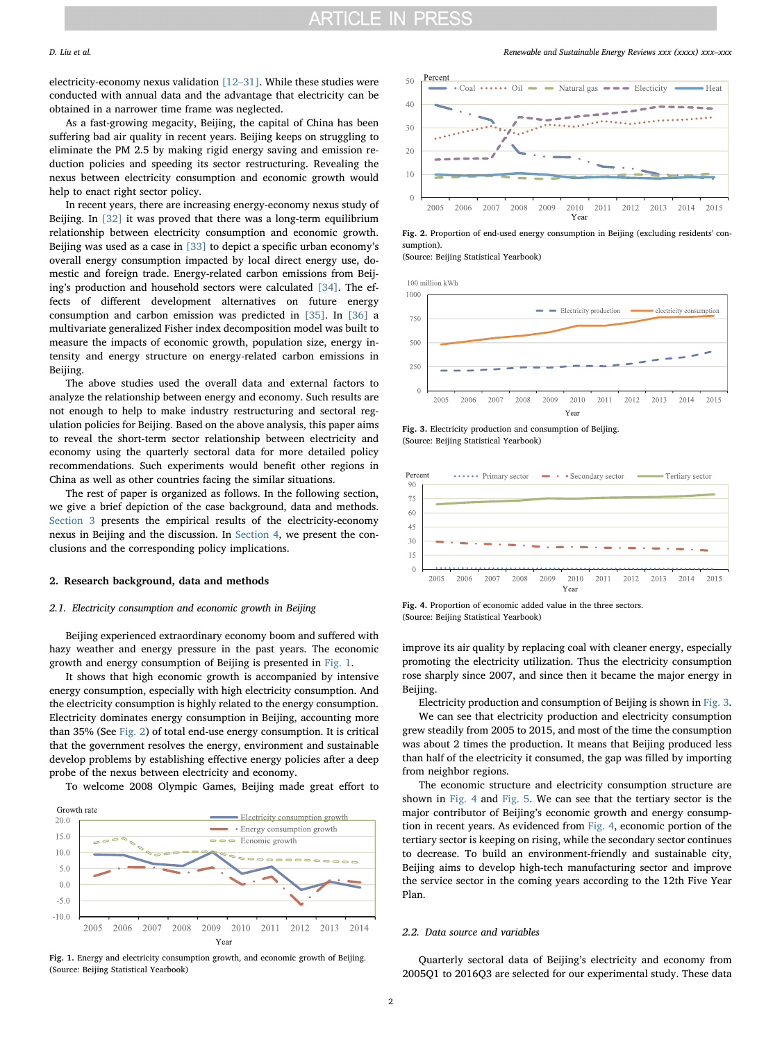electricity-economy nexus validation [12–[31\].](#page--1-4) While these studies were conducted with annual data and the advantage that electricity can be obtained in a narrower time frame was neglected.

As a fast-growing megacity, Beijing, the capital of China has been suffering bad air quality in recent years. Beijing keeps on struggling to eliminate the PM 2.5 by making rigid energy saving and emission reduction policies and speeding its sector restructuring. Revealing the nexus between electricity consumption and economic growth would help to enact right sector policy.

In recent years, there are increasing energy-economy nexus study of Beijing. In [\[32\]](#page--1-5) it was proved that there was a long-term equilibrium relationship between electricity consumption and economic growth. Beijing was used as a case in [\[33\]](#page--1-6) to depict a specific urban economy's overall energy consumption impacted by local direct energy use, domestic and foreign trade. Energy-related carbon emissions from Beijing's production and household sectors were calculated [\[34\].](#page--1-7) The effects of different development alternatives on future energy consumption and carbon emission was predicted in [\[35\].](#page--1-8) In [\[36\]](#page--1-9) a multivariate generalized Fisher index decomposition model was built to measure the impacts of economic growth, population size, energy intensity and energy structure on energy-related carbon emissions in Beijing.

The above studies used the overall data and external factors to analyze the relationship between energy and economy. Such results are not enough to help to make industry restructuring and sectoral regulation policies for Beijing. Based on the above analysis, this paper aims to reveal the short-term sector relationship between electricity and economy using the quarterly sectoral data for more detailed policy recommendations. Such experiments would benefit other regions in China as well as other countries facing the similar situations.

The rest of paper is organized as follows. In the following section, we give a brief depiction of the case background, data and methods. [Section 3](#page--1-10) presents the empirical results of the electricity-economy nexus in Beijing and the discussion. In [Section 4](#page--1-11), we present the conclusions and the corresponding policy implications.

#### 2. Research background, data and methods

#### 2.1. Electricity consumption and economic growth in Beijing

Beijing experienced extraordinary economy boom and suffered with hazy weather and energy pressure in the past years. The economic growth and energy consumption of Beijing is presented in [Fig. 1.](#page-1-0)

It shows that high economic growth is accompanied by intensive energy consumption, especially with high electricity consumption. And the electricity consumption is highly related to the energy consumption. Electricity dominates energy consumption in Beijing, accounting more than 35% (See [Fig. 2\)](#page-1-1) of total end-use energy consumption. It is critical that the government resolves the energy, environment and sustainable develop problems by establishing effective energy policies after a deep probe of the nexus between electricity and economy.

To welcome 2008 Olympic Games, Beijing made great effort to

<span id="page-1-0"></span>

Fig. 1. Energy and electricity consumption growth, and economic growth of Beijing. (Source: Beijing Statistical Yearbook)

D. Liu et al. *Renewable and Sustainable Energy Reviews xxx (xxxx) xxx–xxx*

<span id="page-1-1"></span>

Fig. 2. Proportion of end-used energy consumption in Beijing (excluding residents' consumption).

(Source: Beijing Statistical Yearbook)

<span id="page-1-2"></span>

Fig. 3. Electricity production and consumption of Beijing. (Source: Beijing Statistical Yearbook)

<span id="page-1-3"></span>

Fig. 4. Proportion of economic added value in the three sectors. (Source: Beijing Statistical Yearbook)

improve its air quality by replacing coal with cleaner energy, especially promoting the electricity utilization. Thus the electricity consumption rose sharply since 2007, and since then it became the major energy in Beijing.

Electricity production and consumption of Beijing is shown in [Fig. 3](#page-1-2).

We can see that electricity production and electricity consumption grew steadily from 2005 to 2015, and most of the time the consumption was about 2 times the production. It means that Beijing produced less than half of the electricity it consumed, the gap was filled by importing from neighbor regions.

The economic structure and electricity consumption structure are shown in [Fig.](#page-1-3) 4 and [Fig. 5](#page--1-12). We can see that the tertiary sector is the major contributor of Beijing's economic growth and energy consumption in recent years. As evidenced from [Fig. 4,](#page-1-3) economic portion of the tertiary sector is keeping on rising, while the secondary sector continues to decrease. To build an environment-friendly and sustainable city, Beijing aims to develop high-tech manufacturing sector and improve the service sector in the coming years according to the 12th Five Year Plan.

#### 2.2. Data source and variables

Quarterly sectoral data of Beijing's electricity and economy from 2005Q1 to 2016Q3 are selected for our experimental study. These data